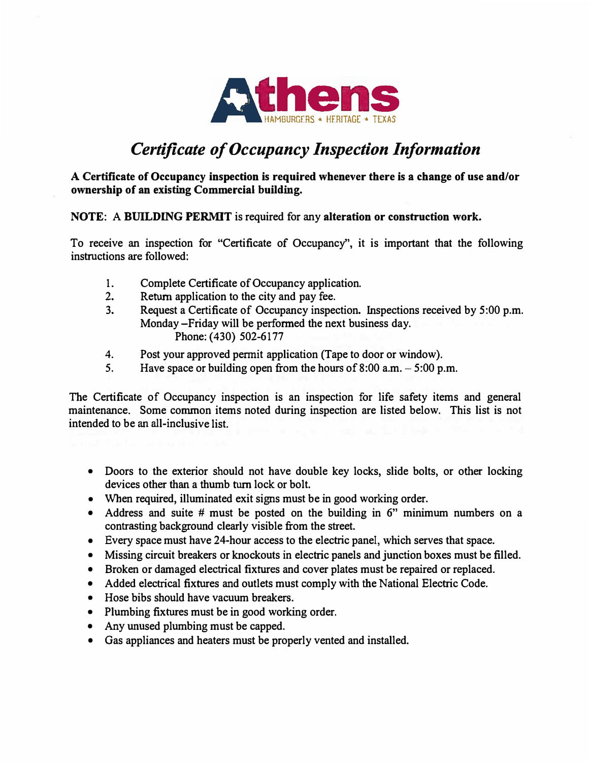

## *Certificate of Occupancy Inspection Information*

**A Certificate of Occupancy inspection is required whenever there is a change of use and/or ownership of an existing Commercial building.** 

**NOTE: A BUILDING PERMIT is required for any alteration or construction work.** 

**To receive an inspection for "Certificate of Occupancy", it is important that the following instructions are followed:** 

- **I. Complete Certificate of Occupancy application.**
- **2. Return application to the city and pay fee.**
- **3. Request a Certificate of Occupancy inspection. Inspections received by 5:00 p.m. Monday-Friday will be performed the next business day. Phone: {430) 502-6177**
- **4.Post your approved permit application (Tape to door or window).**
- *5.* **Have space or building open from the hours of 8:00 a.m. - 5:00 p.m.**

**The Certificate of Occupancy inspection is an inspection for life safety items and general maintenance. Some common items noted during inspection are listed below. This list is not intended to be an all-inclusive list.** 

- **• Doors to the exterior should not have double key locks, slide bolts, or other locking devices other than a thumb turn lock or bolt.**
- **• When required, illuminated exit signs must be in good working order.**
- **• Address and suite # must be posted on the building in 6" minimum numbers on a contrasting background clearly visible from the street.**
- **• Every space must have 24-hour access to the electric panel, which serves that space.**
- **• Missing circuit breakers or knockouts in electric panels and junction boxes must be filled.**
- **• Broken or damaged electrical fixtures and cover plates must be repaired or replaced.**
- **• Added electrical fixtures and outlets must comply with the National Electric Code.**
- **• Hose bibs should have vacuum breakers.**
- **• Plumbing fixtures must be in good working order.**
- **• Any unused plumbing must be capped.**
- **• Gas appliances and heaters must be properly vented and installed.**